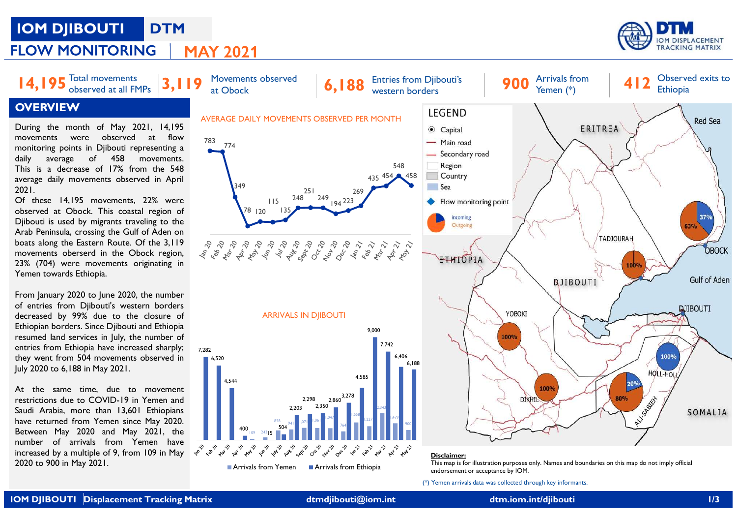## IOM DJIBOUTI DTM



Yemen (\*)

Observed exits to

## **OVERVIEW**

This is a decrease of 17% from the 548 2021.

resumed land services in July, the number of<br>entries from Ethiopia have increased sharply:





(\*) Yemen arrivals data was collected through key informants.

endorsement or acceptance by IOM.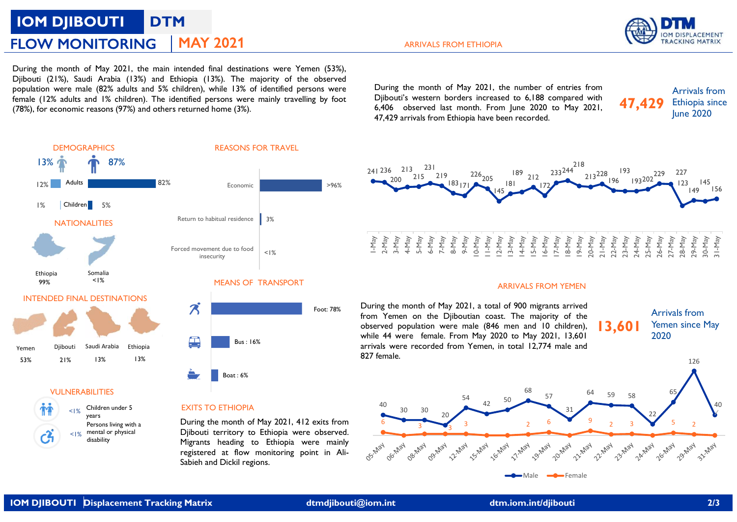# IOM DJIBOUTI DTM

ARRIVALS FROM ETHIOPIA

FLOW MONITORING | MAY 2021<br>
During the month of May 2021, the main intended final destinations were Yemen (53%),<br>
Djibouti (21%), Saudi Arabia (13%) and Ethiopia (13%). The majority of the observed<br>
population were male (8 FLOW MONITORING | MAY 2021<br>
During the month of May 2021, the main intended final destinations were Yemen (53%),<br>
Djibouti (21%), Saudi Arabia (13%) and Ethiopia (13%). The majority of the observed<br>
propulation were male ( **FLOW MONITORING** MAY 2021<br>
Puring the month of May 2021, the main intended final destinations were Yemen (53%),<br>
Djibouti (21%), Saudi Arabia (13%) and Ethiopia (13%). The majority of the observed<br>
population were male (8 FLOW MONITORING MAY 2021<br>
Puring the month of May 2021, the main intended final destinations were Yemen (53%),<br>
Djibouti (21%), Suad I and Estination (21% children), while 13% of identified persons were<br>
population were ma **ELOW MONITORING** MAY 2021<br>
During the month of May 2021, the main intended final destinations were Yemen (53%),<br>
Diphouti (21%), Saudi Artabia (13%) and Ethiopia (13%). The majority of the observed<br>
population were male (

ARRIVALS FROM ETHIOPIA<br>
During the month of May 2021, the number of entries from<br>
Dijbouti's western borders increased to 6,188 compared with<br>
6,406 observed last month. From June 2020 to May 2021,<br>
47,429 arrivals from Et ARRIVALS FROM ETHIOPIA<br>During the month of May 2021, the number of entries from<br>Djibouti's western borders increased to 6,188 compared with<br>6,406 observed last month. From June 2020 to May 2021, 47,429 Ethiopia since<br>47,42 ARRIVALS FROM ETHIOPIA<br>
During the month of May 2021, the number of entries from<br>
Dijbouti's western borders increased to 6,188 compared with<br>
6,406 observed last month. From June 2020 to May 2021,<br>
47,429 arrivals from E





Children under 5 years  $_{1\%}$  Children under 5 EXITS TO ETHIOPIA  $^{40}$  30 30  $\leq 1\%$  mental or physical

Persons living with a **During the month of May 2021**, 412 exits from disability **disability** Migrants heading to Ethiopia were mainly Diibouti territory to Ethiopia were observed.



## ARRIVALS FROM YEMEN

During the month of May 2021, a total of 900 migrants arrived<br>from Yemen on the Diiboutian coast. The majority of the while 44 were female. From May 2020 to May 2021, 13,601 arrivals were recorded from Yemen, in total 12,774 male and





Foot: 78%